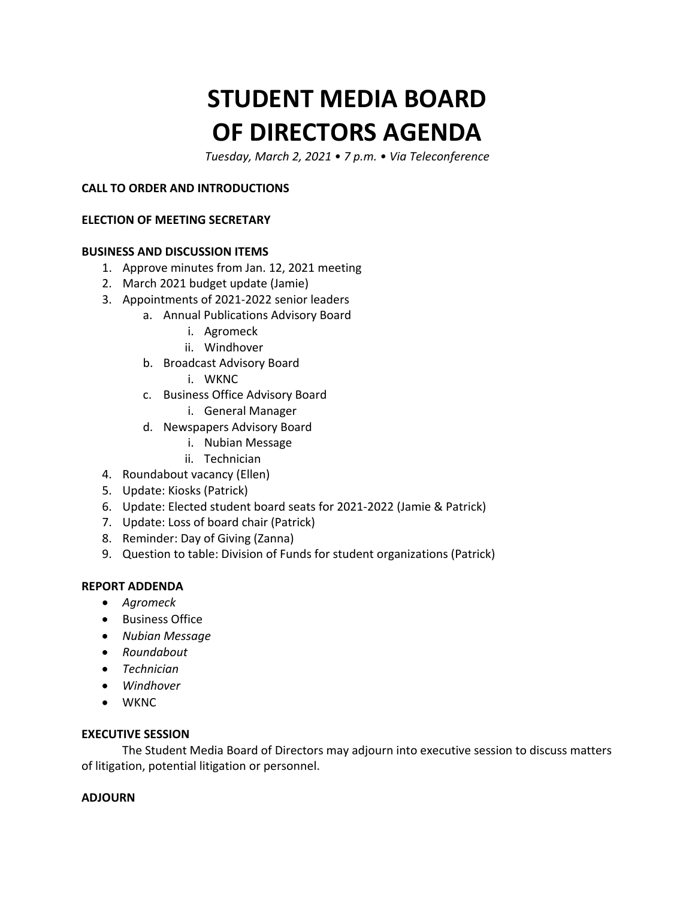# **STUDENT MEDIA BOARD OF DIRECTORS AGENDA**

 *Tuesday, March 2, 2021 • 7 p.m. • Via Teleconference* 

#### **CALL TO ORDER AND INTRODUCTIONS**

#### **ELECTION OF MEETING SECRETARY**

#### **BUSINESS AND DISCUSSION ITEMS**

- 1. Approve minutes from Jan. 12, 2021 meeting
- 2. March 2021 budget update (Jamie)
- 3. Appointments of 2021-2022 senior leaders
	- a. Annual Publications Advisory Board
		- i. Agromeck
		- ii. Windhover
	- b. Broadcast Advisory Board
		- i. WKNC
	- c. Business Office Advisory Board
		- i. General Manager
	- d. Newspapers Advisory Board
		- i. Nubian Message
		- ii. Technician
- 4. Roundabout vacancy (Ellen)
- 5. Update: Kiosks (Patrick)
- 6. Update: Elected student board seats for 2021-2022 (Jamie & Patrick)
- 7. Update: Loss of board chair (Patrick)
- 8. Reminder: Day of Giving (Zanna)
- 9. Question to table: Division of Funds for student organizations (Patrick)

#### **REPORT ADDENDA**

- *Agromeck*
- Business Office
- *Nubian Message*
- *Roundabout*
- *Technician*
- *Windhover*
- WKNC

#### **EXECUTIVE SESSION**

The Student Media Board of Directors may adjourn into executive session to discuss matters of litigation, potential litigation or personnel.

#### **ADJOURN**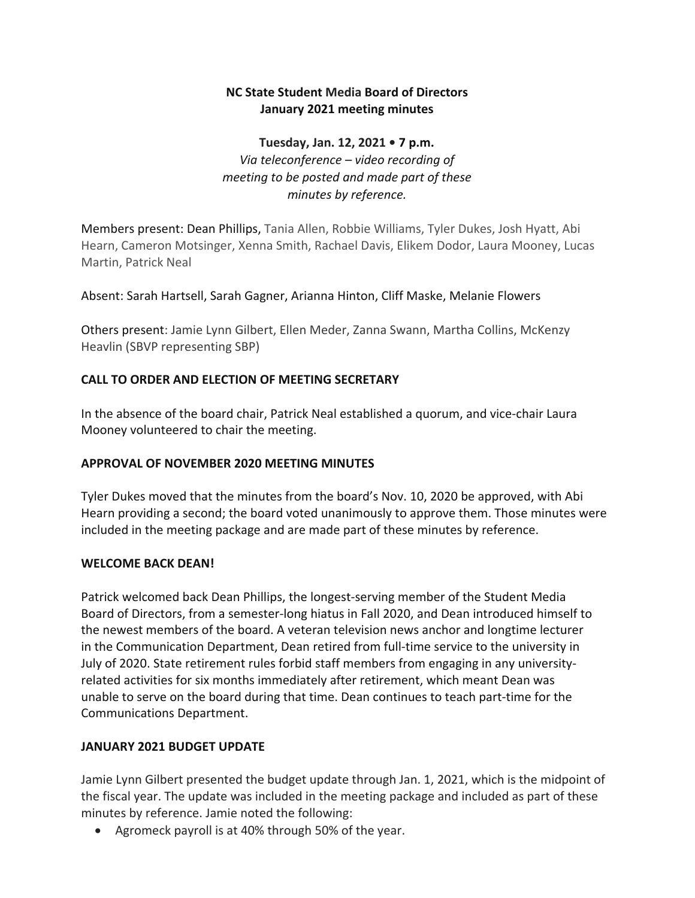#### **NC State Student Media Board of Directors January 2021 meeting minutes**

#### *Via teleconference – video recording of*  **Tuesday, Jan. 12, 2021 • 7 p.m.**  *meeting to be posted and made part of these minutes by reference.*

Members present: Dean Phillips, Tania Allen, Robbie Williams, Tyler Dukes, Josh Hyatt, Abi Hearn, Cameron Motsinger, Xenna Smith, Rachael Davis, Elikem Dodor, Laura Mooney, Lucas Martin, Patrick Neal

#### Absent: Sarah Hartsell, Sarah Gagner, Arianna Hinton, Cliff Maske, Melanie Flowers

Others present: Jamie Lynn Gilbert, Ellen Meder, Zanna Swann, Martha Collins, McKenzy Heavlin (SBVP representing SBP)

#### **CALL TO ORDER AND ELECTION OF MEETING SECRETARY**

In the absence of the board chair, Patrick Neal established a quorum, and vice-chair Laura Mooney volunteered to chair the meeting.

#### **APPROVAL OF NOVEMBER 2020 MEETING MINUTES**

Tyler Dukes moved that the minutes from the board's Nov. 10, 2020 be approved, with Abi Hearn providing a second; the board voted unanimously to approve them. Those minutes were included in the meeting package and are made part of these minutes by reference.

#### **WELCOME BACK DEAN!**

 the newest members of the board. A veteran television news anchor and longtime lecturer Patrick welcomed back Dean Phillips, the longest-serving member of the Student Media Board of Directors, from a semester-long hiatus in Fall 2020, and Dean introduced himself to in the Communication Department, Dean retired from full-time service to the university in July of 2020. State retirement rules forbid staff members from engaging in any universityrelated activities for six months immediately after retirement, which meant Dean was unable to serve on the board during that time. Dean continues to teach part-time for the Communications Department.

#### **JANUARY 2021 BUDGET UPDATE**

Jamie Lynn Gilbert presented the budget update through Jan. 1, 2021, which is the midpoint of the fiscal year. The update was included in the meeting package and included as part of these minutes by reference. Jamie noted the following:

• Agromeck payroll is at 40% through 50% of the year.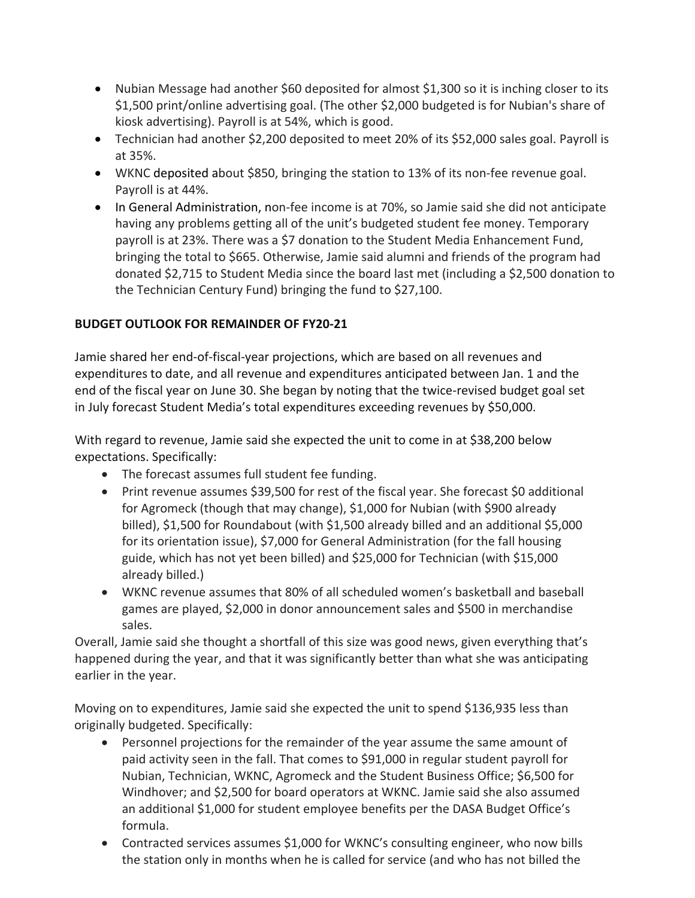- Nubian Message had another \$60 deposited for almost \$1,300 so it is inching closer to its \$1,500 print/online advertising goal. (The other \$2,000 budgeted is for Nubian's share of kiosk advertising). Payroll is at 54%, which is good.
- • Technician had another \$2,200 deposited to meet 20% of its \$52,000 sales goal. Payroll is at 35%.
- WKNC deposited about \$850, bringing the station to 13% of its non-fee revenue goal. Payroll is at 44%.
- donated \$2,715 to Student Media since the board last met (including a \$2,500 donation to the Technician Century Fund) bringing the fund to \$27,100. • In General Administration, non-fee income is at 70%, so Jamie said she did not anticipate having any problems getting all of the unit's budgeted student fee money. Temporary payroll is at 23%. There was a \$7 donation to the Student Media Enhancement Fund, bringing the total to \$665. Otherwise, Jamie said alumni and friends of the program had

#### **BUDGET OUTLOOK FOR REMAINDER OF FY20-21**

 expenditures to date, and all revenue and expenditures anticipated between Jan. 1 and the Jamie shared her end-of-fiscal-year projections, which are based on all revenues and end of the fiscal year on June 30. She began by noting that the twice-revised budget goal set in July forecast Student Media's total expenditures exceeding revenues by \$50,000.

With regard to revenue, Jamie said she expected the unit to come in at \$38,200 below expectations. Specifically:

- The forecast assumes full student fee funding.
- Print revenue assumes \$39,500 for rest of the fiscal year. She forecast \$0 additional for Agromeck (though that may change), \$1,000 for Nubian (with \$900 already billed), \$1,500 for Roundabout (with \$1,500 already billed and an additional \$5,000 for its orientation issue), \$7,000 for General Administration (for the fall housing guide, which has not yet been billed) and \$25,000 for Technician (with \$15,000 already billed.)
- WKNC revenue assumes that 80% of all scheduled women's basketball and baseball games are played, \$2,000 in donor announcement sales and \$500 in merchandise sales.

Overall, Jamie said she thought a shortfall of this size was good news, given everything that's happened during the year, and that it was significantly better than what she was anticipating earlier in the year.

Moving on to expenditures, Jamie said she expected the unit to spend \$136,935 less than originally budgeted. Specifically:

- • Personnel projections for the remainder of the year assume the same amount of Windhover; and \$2,500 for board operators at WKNC. Jamie said she also assumed paid activity seen in the fall. That comes to \$91,000 in regular student payroll for Nubian, Technician, WKNC, Agromeck and the Student Business Office; \$6,500 for an additional \$1,000 for student employee benefits per the DASA Budget Office's formula.
- • Contracted services assumes \$1,000 for WKNC's consulting engineer, who now bills the station only in months when he is called for service (and who has not billed the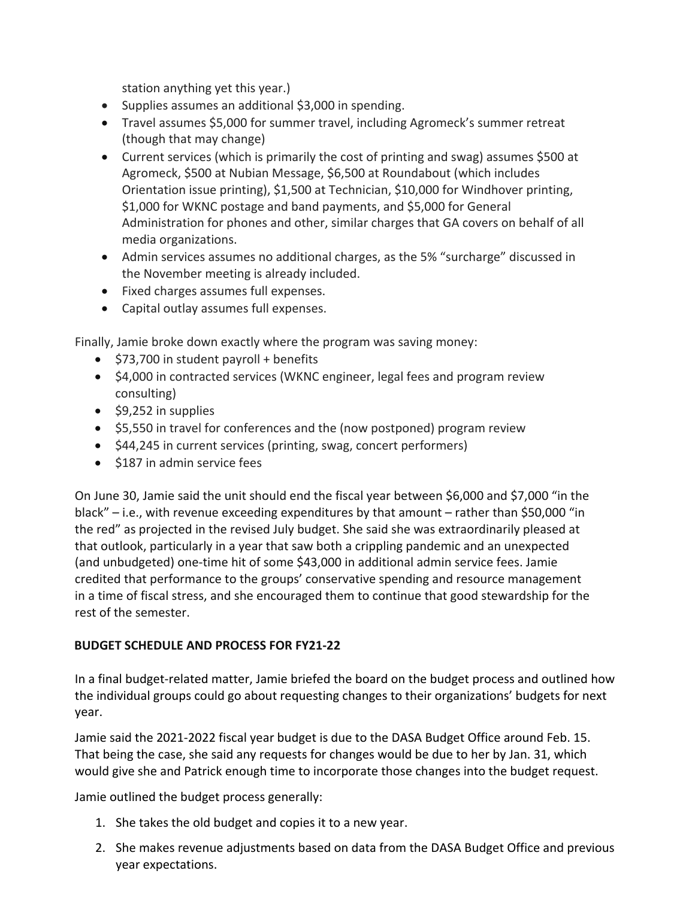station anything yet this year.)

- Supplies assumes an additional \$3,000 in spending.
- Travel assumes \$5,000 for summer travel, including Agromeck's summer retreat (though that may change)
- • Current services (which is primarily the cost of printing and swag) assumes \$500 at Orientation issue printing), \$1,500 at Technician, \$10,000 for Windhover printing, Agromeck, \$500 at Nubian Message, \$6,500 at Roundabout (which includes \$1,000 for WKNC postage and band payments, and \$5,000 for General Administration for phones and other, similar charges that GA covers on behalf of all media organizations.
- Admin services assumes no additional charges, as the 5% "surcharge" discussed in the November meeting is already included.
- Fixed charges assumes full expenses.
- Capital outlay assumes full expenses.

Finally, Jamie broke down exactly where the program was saving money:

- \$73,700 in student payroll + benefits
- \$4,000 in contracted services (WKNC engineer, legal fees and program review consulting)
- \$9,252 in supplies
- \$5,550 in travel for conferences and the (now postponed) program review
- \$44,245 in current services (printing, swag, concert performers)
- \$187 in admin service fees

 black" – i.e., with revenue exceeding expenditures by that amount – rather than \$50,000 "in On June 30, Jamie said the unit should end the fiscal year between \$6,000 and \$7,000 "in the the red" as projected in the revised July budget. She said she was extraordinarily pleased at that outlook, particularly in a year that saw both a crippling pandemic and an unexpected (and unbudgeted) one-time hit of some \$43,000 in additional admin service fees. Jamie credited that performance to the groups' conservative spending and resource management in a time of fiscal stress, and she encouraged them to continue that good stewardship for the rest of the semester.

#### **BUDGET SCHEDULE AND PROCESS FOR FY21-22**

In a final budget-related matter, Jamie briefed the board on the budget process and outlined how the individual groups could go about requesting changes to their organizations' budgets for next year.

would give she and Patrick enough time to incorporate those changes into the budget request.<br>Jamie outlined the budget process generally: Jamie said the 2021-2022 fiscal year budget is due to the DASA Budget Office around Feb. 15. That being the case, she said any requests for changes would be due to her by Jan. 31, which

- 1. She takes the old budget and copies it to a new year.
- 2. She makes revenue adjustments based on data from the DASA Budget Office and previous year expectations.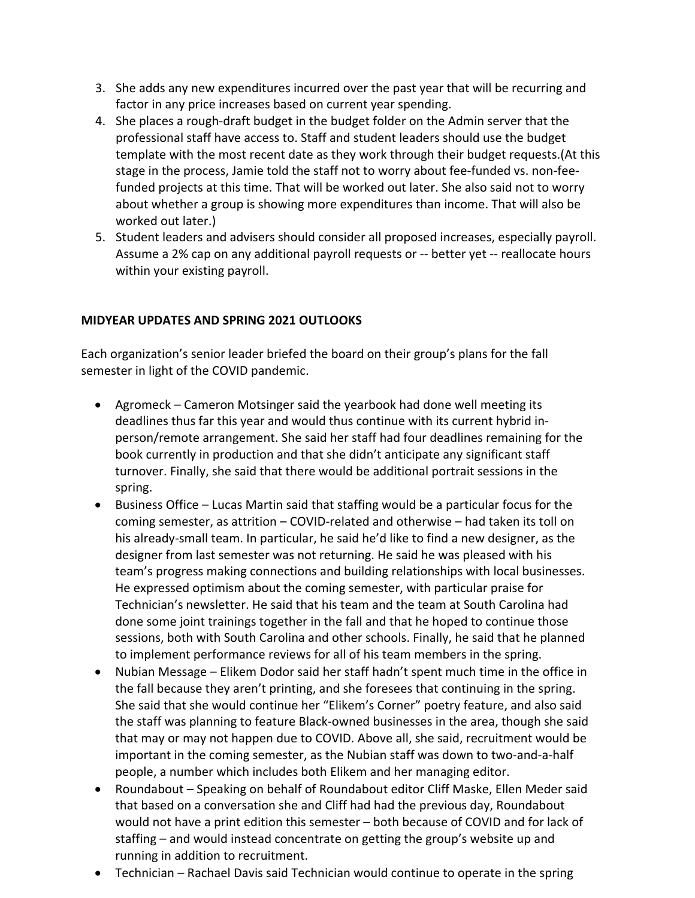- 3. She adds any new expenditures incurred over the past year that will be recurring and factor in any price increases based on current year spending.
- 4. She places a rough-draft budget in the budget folder on the Admin server that the professional staff have access to. Staff and student leaders should use the budget template with the most recent date as they work through their budget requests.(At this stage in the process, Jamie told the staff not to worry about fee-funded vs. non-feefunded projects at this time. That will be worked out later. She also said not to worry about whether a group is showing more expenditures than income. That will also be worked out later.)
- Assume a 2% cap on any additional payroll requests or -- better yet -- reallocate hours 5. Student leaders and advisers should consider all proposed increases, especially payroll. within your existing payroll.

#### **MIDYEAR UPDATES AND SPRING 2021 OUTLOOKS**

Each organization's senior leader briefed the board on their group's plans for the fall semester in light of the COVID pandemic.

- Agromeck Cameron Motsinger said the yearbook had done well meeting its deadlines thus far this year and would thus continue with its current hybrid inperson/remote arrangement. She said her staff had four deadlines remaining for the book currently in production and that she didn't anticipate any significant staff turnover. Finally, she said that there would be additional portrait sessions in the spring.
- • Business Office Lucas Martin said that staffing would be a particular focus for the coming semester, as attrition – COVID-related and otherwise – had taken its toll on his already-small team. In particular, he said he'd like to find a new designer, as the designer from last semester was not returning. He said he was pleased with his team's progress making connections and building relationships with local businesses. He expressed optimism about the coming semester, with particular praise for Technician's newsletter. He said that his team and the team at South Carolina had done some joint trainings together in the fall and that he hoped to continue those sessions, both with South Carolina and other schools. Finally, he said that he planned to implement performance reviews for all of his team members in the spring.
- • Nubian Message Elikem Dodor said her staff hadn't spent much time in the office in the fall because they aren't printing, and she foresees that continuing in the spring. She said that she would continue her "Elikem's Corner" poetry feature, and also said the staff was planning to feature Black-owned businesses in the area, though she said that may or may not happen due to COVID. Above all, she said, recruitment would be important in the coming semester, as the Nubian staff was down to two-and-a-half people, a number which includes both Elikem and her managing editor.
- • Roundabout Speaking on behalf of Roundabout editor Cliff Maske, Ellen Meder said staffing – and would instead concentrate on getting the group's website up and that based on a conversation she and Cliff had had the previous day, Roundabout would not have a print edition this semester – both because of COVID and for lack of running in addition to recruitment.
- Technician Rachael Davis said Technician would continue to operate in the spring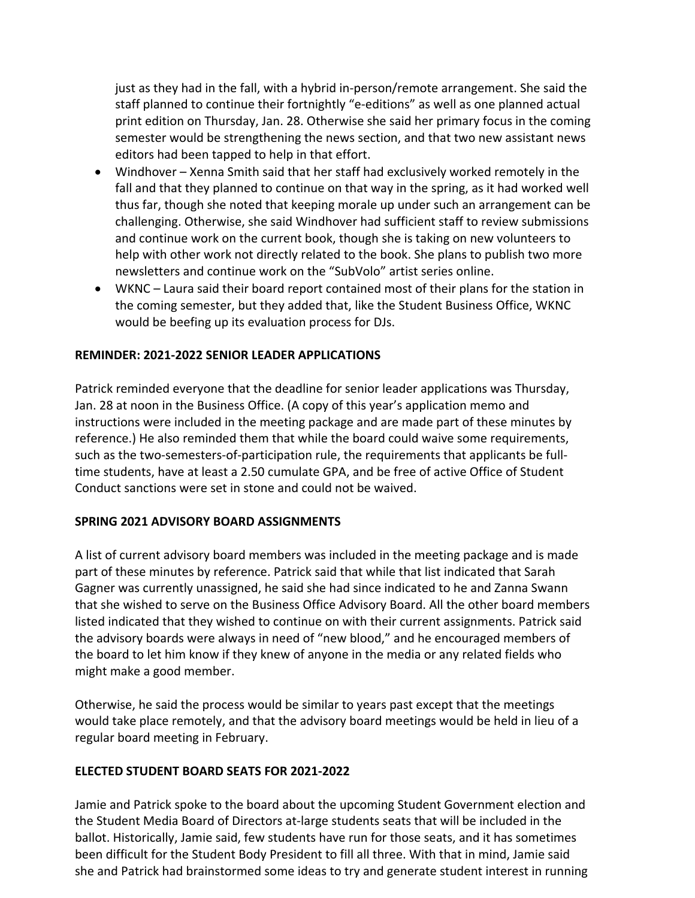just as they had in the fall, with a hybrid in-person/remote arrangement. She said the staff planned to continue their fortnightly "e-editions" as well as one planned actual print edition on Thursday, Jan. 28. Otherwise she said her primary focus in the coming semester would be strengthening the news section, and that two new assistant news editors had been tapped to help in that effort.

- • Windhover Xenna Smith said that her staff had exclusively worked remotely in the fall and that they planned to continue on that way in the spring, as it had worked well thus far, though she noted that keeping morale up under such an arrangement can be challenging. Otherwise, she said Windhover had sufficient staff to review submissions and continue work on the current book, though she is taking on new volunteers to help with other work not directly related to the book. She plans to publish two more newsletters and continue work on the "SubVolo" artist series online.
- • WKNC Laura said their board report contained most of their plans for the station in the coming semester, but they added that, like the Student Business Office, WKNC would be beefing up its evaluation process for DJs.

#### **REMINDER: 2021-2022 SENIOR LEADER APPLICATIONS**

 Conduct sanctions were set in stone and could not be waived. Patrick reminded everyone that the deadline for senior leader applications was Thursday, Jan. 28 at noon in the Business Office. (A copy of this year's application memo and instructions were included in the meeting package and are made part of these minutes by reference.) He also reminded them that while the board could waive some requirements, such as the two-semesters-of-participation rule, the requirements that applicants be fulltime students, have at least a 2.50 cumulate GPA, and be free of active Office of Student

#### **SPRING 2021 ADVISORY BOARD ASSIGNMENTS**

 the board to let him know if they knew of anyone in the media or any related fields who A list of current advisory board members was included in the meeting package and is made part of these minutes by reference. Patrick said that while that list indicated that Sarah Gagner was currently unassigned, he said she had since indicated to he and Zanna Swann that she wished to serve on the Business Office Advisory Board. All the other board members listed indicated that they wished to continue on with their current assignments. Patrick said the advisory boards were always in need of "new blood," and he encouraged members of might make a good member.

Otherwise, he said the process would be similar to years past except that the meetings would take place remotely, and that the advisory board meetings would be held in lieu of a regular board meeting in February.

#### **ELECTED STUDENT BOARD SEATS FOR 2021-2022**

Jamie and Patrick spoke to the board about the upcoming Student Government election and the Student Media Board of Directors at-large students seats that will be included in the ballot. Historically, Jamie said, few students have run for those seats, and it has sometimes been difficult for the Student Body President to fill all three. With that in mind, Jamie said she and Patrick had brainstormed some ideas to try and generate student interest in running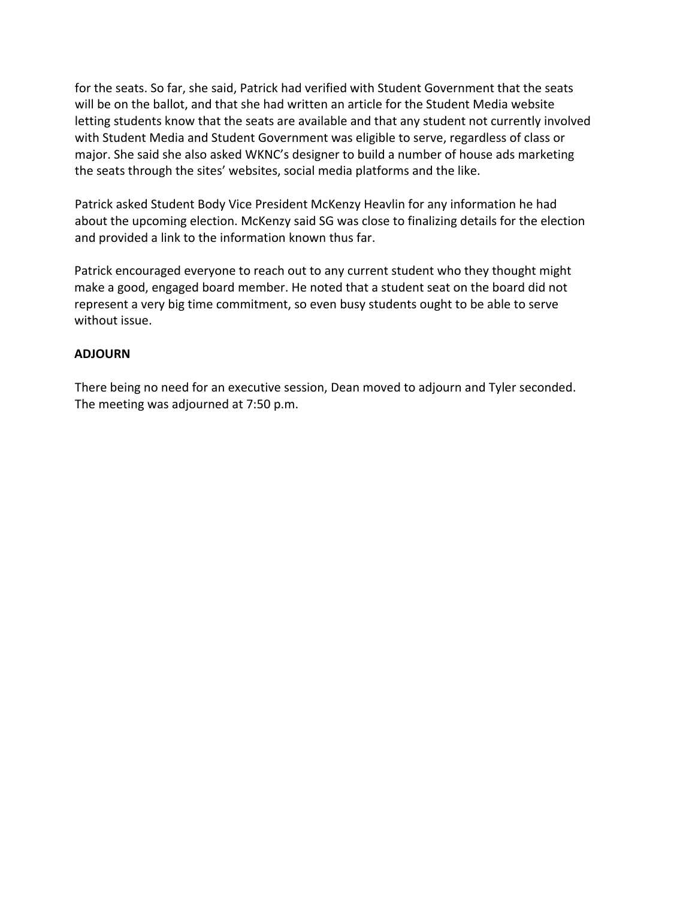for the seats. So far, she said, Patrick had verified with Student Government that the seats will be on the ballot, and that she had written an article for the Student Media website letting students know that the seats are available and that any student not currently involved with Student Media and Student Government was eligible to serve, regardless of class or major. She said she also asked WKNC's designer to build a number of house ads marketing the seats through the sites' websites, social media platforms and the like.

Patrick asked Student Body Vice President McKenzy Heavlin for any information he had about the upcoming election. McKenzy said SG was close to finalizing details for the election and provided a link to the information known thus far.

Patrick encouraged everyone to reach out to any current student who they thought might make a good, engaged board member. He noted that a student seat on the board did not represent a very big time commitment, so even busy students ought to be able to serve without issue.

#### **ADJOURN**

 There being no need for an executive session, Dean moved to adjourn and Tyler seconded. The meeting was adjourned at 7:50 p.m.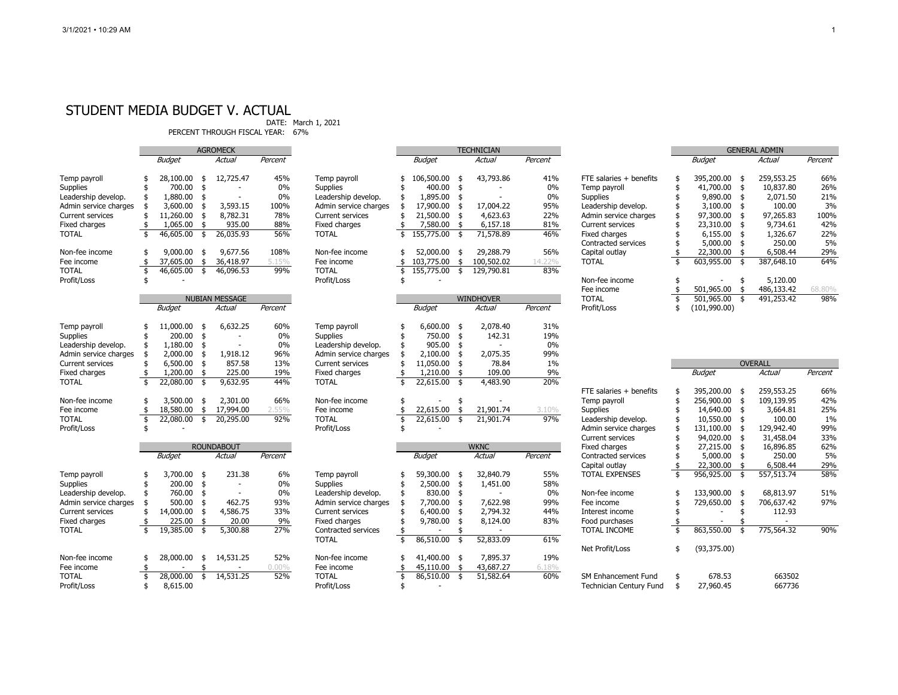#### STUDENT MEDIA BUDGET V. ACTUAL

DATE: March 1, 2021

PERCENT THROUGH FISCAL YEAR: 67%

|                         | agromeck                |               |            | TECHNICIAN               |          |                         |                         | <b>GENERAL ADMIN</b> |               |                  |         |                                |    |                          |      |                |         |
|-------------------------|-------------------------|---------------|------------|--------------------------|----------|-------------------------|-------------------------|----------------------|---------------|------------------|---------|--------------------------------|----|--------------------------|------|----------------|---------|
|                         |                         | <b>Budget</b> |            | <b>Actual</b>            | Percent  |                         |                         | <b>Budget</b>        |               | Actual           | Percent |                                |    | <b>Budget</b>            |      | Actual         | Percent |
| Temp payroll            |                         | 28,100.00     | -\$        | 12,725.47                | 45%      | Temp payroll            |                         | 106,500.00           |               | 43,793.86        | 41%     | FTE salaries + benefits        | \$ | 395,200.00               | - \$ | 259,553.25     | 66%     |
| Supplies                |                         | 700.00        | \$         |                          | 0%       | <b>Supplies</b>         |                         | 400.00               | $\ddot{s}$    |                  | 0%      | Temp payroll                   | \$ | 41,700.00                | \$   | 10,837.80      | 26%     |
| Leadership develop.     |                         | 1,880.00      | \$         |                          | 0%       | Leadership develop.     |                         | 1,895.00             |               |                  | $0\%$   | Supplies                       |    | 9,890.00                 | -\$  | 2,071.50       | 21%     |
| Admin service charges   | \$                      | 3,600.00      | \$         | 3,593.15                 | 100%     | Admin service charges   |                         | 17,900.00            |               | 17,004.22        | 95%     | Leadership develop.            |    | 3,100.00                 | -\$  | 100.00         | 3%      |
| <b>Current services</b> |                         | 11,260.00     | \$         | 8,782.31                 | 78%      | <b>Current services</b> |                         | 21,500.00            | -\$           | 4,623.63         | 22%     | Admin service charges          |    | 97,300.00                | . ቲ  | 97,265.83      | 100%    |
| Fixed charges           | \$                      | 1,065.00      | \$         | 935.00                   | 88%      | Fixed charges           |                         | 7,580.00             | \$            | 6,157.18         | 81%     | <b>Current services</b>        |    | 23,310.00                | -\$  | 9,734.61       | 42%     |
| <b>TOTAL</b>            | \$                      | 46,605.00     | \$         | 26,035.93                | 56%      | <b>TOTAL</b>            |                         | 155,775.00           | \$            | 71,578.89        | 46%     | Fixed charges                  |    | 6,155.00                 | -\$  | 1,326.67       | 22%     |
|                         |                         |               |            |                          |          |                         |                         |                      |               |                  |         | Contracted services            |    | 5,000.00                 | -\$  | 250.00         | 5%      |
| Non-fee income          | \$                      | 9,000.00      | -\$        | 9,677.56                 | 108%     | Non-fee income          |                         | 52,000.00            | -\$           | 29,288.79        | 56%     | Capital outlay                 |    | 22,300.00                | -\$  | 6,508.44       | 29%     |
| Fee income              | \$                      | 37,605.00     | \$         | 36,418.97                | 5.15%    | Fee income              |                         | 103,775.00           | \$            | 100,502.02       | 14.22%  | <b>TOTAL</b>                   | \$ | 603,955.00               |      | 387,648.10     | 64%     |
| <b>TOTAL</b>            | \$                      | 46,605.00     | $\sqrt{5}$ | 46,096.53                | 99%      | <b>TOTAL</b>            |                         | 155,775.00           | $\frac{1}{2}$ | 129,790.81       | 83%     |                                |    |                          |      |                |         |
| Profit/Loss             | \$                      |               |            |                          |          | Profit/Loss             |                         |                      |               |                  |         | Non-fee income                 | \$ |                          | \$   | 5,120.00       |         |
|                         |                         |               |            |                          |          |                         |                         |                      |               |                  |         | Fee income                     | \$ | 501,965.00               | -\$  | 486,133.42     | 68,80%  |
|                         |                         |               |            | <b>NUBIAN MESSAGE</b>    |          |                         |                         |                      |               | <b>WINDHOVER</b> |         | <b>TOTAL</b>                   | \$ | 501,965.00               | -\$  | 491,253.42     | 98%     |
|                         |                         | <b>Budget</b> |            | Actual                   | Percent  |                         |                         | <b>Budget</b>        |               | Actual           | Percent | Profit/Loss                    | \$ | (101, 990.00)            |      |                |         |
|                         |                         |               |            |                          |          |                         |                         |                      |               |                  |         |                                |    |                          |      |                |         |
| Temp payroll            |                         | 11,000.00     | \$         | 6,632.25                 | 60%      | Temp payroll            |                         | 6,600.00             | - \$          | 2,078.40         | 31%     |                                |    |                          |      |                |         |
| Supplies                | \$                      | 200.00        | \$         |                          | 0%       | Supplies                |                         | 750.00               | \$            | 142.31           | 19%     |                                |    |                          |      |                |         |
| Leadership develop.     |                         | 1,180.00      | \$         |                          | 0%       | Leadership develop.     |                         | 905.00               | - \$          |                  | 0%      |                                |    |                          |      |                |         |
| Admin service charges   | \$                      | 2,000.00      | \$         | 1,918.12                 | 96%      | Admin service charges   |                         | 2,100.00             | -\$           | 2,075.35         | 99%     |                                |    |                          |      |                |         |
| <b>Current services</b> | \$                      | 6,500.00      | \$         | 857.58                   | 13%      | <b>Current services</b> |                         | 11,050.00            | -\$           | 78.84            | 1%      |                                |    |                          |      | <b>OVERALL</b> |         |
| Fixed charges           | \$                      | 1,200.00      | \$         | 225.00                   | 19%      | Fixed charges           |                         | 1,210.00             | \$            | 109.00           | 9%      |                                |    | <b>Budget</b>            |      | <b>Actual</b>  | Percent |
| <b>TOTAL</b>            | $\overline{\mathbf{s}}$ | 22,080.00     | \$         | 9,632.95                 | 44%      | <b>TOTAL</b>            | $\overline{\mathbf{s}}$ | 22,615.00            | \$            | 4,483.90         | 20%     |                                |    |                          |      |                |         |
|                         |                         |               |            |                          |          |                         |                         |                      |               |                  |         | FTE salaries + benefits        | \$ | 395,200.00 \$            |      | 259,553.25     | 66%     |
| Non-fee income          | \$                      | 3,500.00      | \$         | 2,301.00                 | 66%      | Non-fee income          |                         |                      | \$            |                  |         | Temp payroll                   |    | 256,900.00               | \$   | 109,139.95     | 42%     |
| Fee income              | \$                      | 18,580.00     | \$         | 17,994.00                | 2.55%    | Fee income              |                         | 22,615.00            | \$            | 21,901.74        | 3.10%   | Supplies                       |    | 14,640.00                | -\$  | 3,664.81       | 25%     |
| <b>TOTAL</b>            | \$                      | 22,080.00     | \$         | 20,295.00                | 92%      | <b>TOTAL</b>            |                         | 22,615.00            | \$            | 21,901.74        | 97%     | Leadership develop.            |    | 10,550.00                | \$   | 100.00         | 1%      |
| Profit/Loss             |                         |               |            |                          |          | Profit/Loss             |                         |                      |               |                  |         | Admin service charges          |    | 131,100.00               | -\$  | 129,942.40     | 99%     |
|                         |                         |               |            |                          |          |                         |                         |                      |               |                  |         | <b>Current services</b>        |    | 94,020.00                |      | 31,458.04      | 33%     |
|                         |                         |               |            | <b>ROUNDABOUT</b>        |          |                         |                         |                      |               | <b>WKNC</b>      |         | Fixed charges                  |    | 27,215.00                |      | 16,896.85      | 62%     |
|                         |                         | <b>Budget</b> |            | <b>Actual</b>            | Percent  |                         |                         | <b>Budget</b>        |               | Actual           | Percent | Contracted services            |    | 5,000.00                 | -\$  | 250.00         | 5%      |
|                         |                         |               |            |                          |          |                         |                         |                      |               |                  |         | Capital outlay                 |    | 22,300.00                |      | 6,508.44       | 29%     |
| Temp payroll            | \$                      | 3,700.00      | - \$       | 231.38                   | 6%       | Temp payroll            |                         | 59,300.00 \$         |               | 32,840.79        | 55%     | <b>TOTAL EXPENSES</b>          | \$ | 956,925.00               | \$   | 557,513.74     | 58%     |
| Supplies                | \$                      | 200.00        | \$         | $\overline{\phantom{a}}$ | 0%       | Supplies                |                         | $2,500.00$ \$        |               | 1,451.00         | 58%     |                                |    |                          |      |                |         |
| Leadership develop.     | \$.                     | 760.00        | \$         | $\sim$                   | 0%       | Leadership develop.     |                         | 830.00 \$            |               |                  | $0\%$   | Non-fee income                 | \$ | 133,900.00 \$            |      | 68,813.97      | 51%     |
| Admin service charges   |                         | 500.00        | \$         | 462.75                   | 93%      | Admin service charges   |                         | 7,700.00             |               | 7,622.98         | 99%     | Fee income                     | \$ | 729,650.00               | \$   | 706,637.42     | 97%     |
| <b>Current services</b> | \$                      | 14,000.00     | \$         | 4,586.75                 | 33%      | <b>Current services</b> |                         | 6,400.00             |               | 2,794.32         | 44%     | Interest income                |    | $\overline{\phantom{a}}$ | \$   | 112.93         |         |
| Fixed charges           |                         | 225.00        | \$         | 20.00                    | 9%       | Fixed charges           |                         | 9,780.00             |               | 8,124.00         | 83%     | Food purchases                 |    |                          |      |                |         |
| <b>TOTAL</b>            | \$                      | 19,385.00     | \$         | 5,300.88                 | 27%      | Contracted services     |                         |                      |               |                  |         | <b>TOTAL INCOME</b>            | \$ | 863,550.00               | -\$  | 775,564.32     | 90%     |
|                         |                         |               |            |                          |          | <b>TOTAL</b>            | ¢                       | 86,510.00            | -\$           | 52,833.09        | 61%     |                                |    |                          |      |                |         |
|                         |                         |               |            |                          |          |                         |                         |                      |               |                  |         | Net Profit/Loss                | \$ | (93, 375.00)             |      |                |         |
| Non-fee income          | \$                      | 28,000.00     | \$         | 14,531.25                | 52%      | Non-fee income          |                         | 41,400.00 \$         |               | 7,895.37         | 19%     |                                |    |                          |      |                |         |
| Fee income              | \$                      |               | \$         |                          | $0.00\%$ | Fee income              |                         | 45,110.00            |               | 43,687.27        | 6.18%   |                                |    |                          |      |                |         |
| <b>TOTAL</b>            | \$                      | 28,000.00     | \$         | 14,531.25                | 52%      | <b>TOTAL</b>            |                         | 86,510.00            | \$            | 51,582.64        | 60%     | SM Enhancement Fund            | \$ | 678.53                   |      | 663502         |         |
| Profit/Loss             |                         | 8,615.00      |            |                          |          | Profit/Loss             |                         |                      |               |                  |         | <b>Technician Century Fund</b> | \$ | 27,960.45                |      | 667736         |         |

|                         | GENERAL ADMIN |               |    |            |         |  |
|-------------------------|---------------|---------------|----|------------|---------|--|
|                         |               | <b>Budget</b> |    | Actual     | Percent |  |
| FTE salaries + benefits | \$            | 395,200.00    | \$ | 259,553.25 | 66%     |  |
| Temp payroll            | \$            | 41,700.00     | \$ | 10,837.80  | 26%     |  |
| Supplies                | \$            | 9,890.00      | \$ | 2.071.50   | 21%     |  |
| Leadership develop.     | \$            | 3,100.00      | \$ | 100.00     | 3%      |  |
| Admin service charges   | \$            | 97,300.00     | \$ | 97,265.83  | 100%    |  |
| Current services        | \$            | 23,310.00     | \$ | 9,734.61   | 42%     |  |
| Fixed charges           | \$            | 6,155.00      | \$ | 1,326.67   | 22%     |  |
| Contracted services     | \$            | 5,000.00      | \$ | 250.00     | 5%      |  |
| Capital outlay          | \$            | 22,300.00     | \$ | 6,508.44   | 29%     |  |
| TOTAL                   | \$            | 603,955.00    | \$ | 387,648.10 | 64%     |  |
| Non-fee income          | \$            |               | \$ | 5,120.00   |         |  |
| Fee income              | \$            | 501,965.00    | \$ | 486,133.42 | 68.80%  |  |
| <b>TOTAL</b>            | \$            | 501,965.00    | \$ | 491,253.42 | 98%     |  |
| Profit/Loss             |               | (101, 990.00) |    |            |         |  |

|                         |               |               | <b>OVERALL</b>   |         |  |
|-------------------------|---------------|---------------|------------------|---------|--|
|                         |               | <b>Budget</b> | Actual           | Percent |  |
| FTE salaries + benefits | \$            | 395,200.00    | \$<br>259,553.25 | 66%     |  |
| Temp payroll            | \$            | 256,900.00    | \$<br>109,139.95 | 42%     |  |
| Supplies                |               | 14,640.00     | \$<br>3,664.81   | 25%     |  |
| Leadership develop.     |               | 10,550.00     | \$<br>100.00     | $1\%$   |  |
| Admin service charges   |               | 131,100.00    | \$<br>129,942.40 | 99%     |  |
| Current services        | \$\$\$\$\$\$  | 94,020.00     | \$<br>31,458.04  | 33%     |  |
| Fixed charges           |               | 27,215.00     | \$<br>16,896.85  | 62%     |  |
| Contracted services     |               | 5,000.00      | \$<br>250.00     | 5%      |  |
| Capital outlay          | $\frac{1}{2}$ | 22,300.00     | \$<br>6,508.44   | 29%     |  |
| <b>TOTAL EXPENSES</b>   |               | 956,925.00    | \$<br>557,513.74 | 58%     |  |
| Non-fee income          | \$            | 133,900.00    | \$<br>68,813.97  | 51%     |  |
| Fee income              |               | 729,650.00    | \$<br>706,637.42 | 97%     |  |
| Interest income         |               |               | \$<br>112.93     |         |  |
| Food purchases          | \$\$\$        |               | \$               |         |  |
| TOTAL INCOME            | \$            | 863,550.00    | \$<br>775,564.32 | 90%     |  |
| Net Profit/Loss         | \$            | (93, 375.00)  |                  |         |  |
| SM Enhancement Fund     | \$            | 678.53        | 663502           |         |  |
| Technician Century Fund | \$            | 27,960.45     | 667736           |         |  |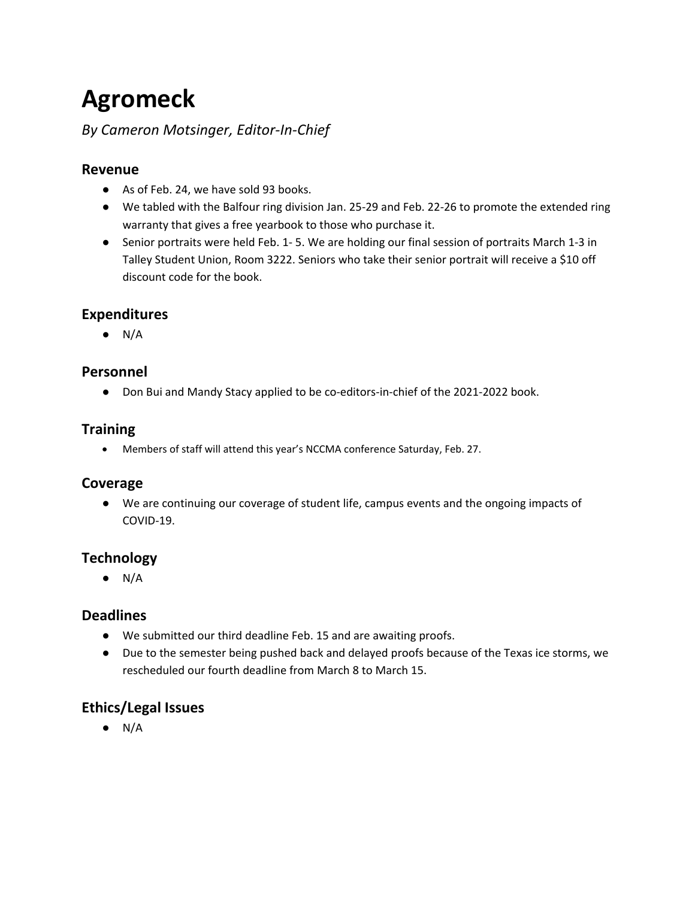## **Agromeck**

## *By Cameron Motsinger, Editor-In-Chief*

### **Revenue**

- As of Feb. 24, we have sold 93 books.
- ● We tabled with the Balfour ring division Jan. 25-29 and Feb. 22-26 to promote the extended ring warranty that gives a free yearbook to those who purchase it.
- ● Senior portraits were held Feb. 1- 5. We are holding our final session of portraits March 1-3 in Talley Student Union, Room 3222. Seniors who take their senior portrait will receive a \$10 off discount code for the book.

## **Expenditures**

 $\bullet$  N/A

#### **Personnel**

● Don Bui and Mandy Stacy applied to be co-editors-in-chief of the 2021-2022 book.

#### **Training**

• Members of staff will attend this year's NCCMA conference Saturday, Feb. 27.

#### **Coverage**

● We are continuing our coverage of student life, campus events and the ongoing impacts of COVID-19.

#### **Technology**

 $\bullet$  N/A

#### **Deadlines**

- We submitted our third deadline Feb. 15 and are awaiting proofs.
- ● Due to the semester being pushed back and delayed proofs because of the Texas ice storms, we rescheduled our fourth deadline from March 8 to March 15.

## **Ethics/Legal Issues**

 $\bullet$  N/A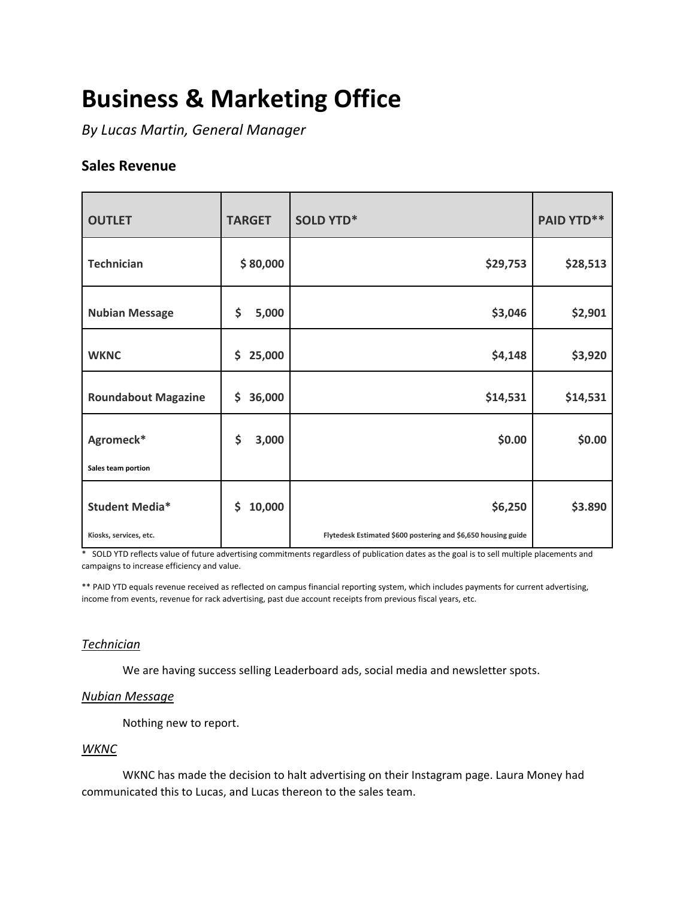# **Business & Marketing Office**

 *By Lucas Martin, General Manager* 

### **Sales Revenue**

| <b>OUTLET</b>              | <b>TARGET</b> | <b>SOLD YTD*</b>                                              | <b>PAID YTD**</b> |
|----------------------------|---------------|---------------------------------------------------------------|-------------------|
| <b>Technician</b>          | \$80,000      | \$29,753                                                      | \$28,513          |
| <b>Nubian Message</b>      | \$<br>5,000   | \$3,046                                                       | \$2,901           |
| <b>WKNC</b>                | 25,000<br>\$  | \$4,148                                                       | \$3,920           |
| <b>Roundabout Magazine</b> | 36,000<br>\$  | \$14,531                                                      | \$14,531          |
| Agromeck*                  | \$<br>3,000   | \$0.00                                                        | \$0.00            |
| Sales team portion         |               |                                                               |                   |
| <b>Student Media*</b>      | 10,000<br>\$  | \$6,250                                                       | \$3.890           |
| Kiosks, services, etc.     |               | Flytedesk Estimated \$600 postering and \$6,650 housing guide |                   |

 \* SOLD YTD reflects value of future advertising commitments regardless of publication dates as the goal is to sell multiple placements and campaigns to increase efficiency and value.

 \*\* PAID YTD equals revenue received as reflected on campus financial reporting system, which includes payments for current advertising, income from events, revenue for rack advertising, past due account receipts from previous fiscal years, etc.

#### *Technician*

We are having success selling Leaderboard ads, social media and newsletter spots.

#### *Nubian Message*

Nothing new to report.

#### *WKNC*

WKNC has made the decision to halt advertising on their Instagram page. Laura Money had communicated this to Lucas, and Lucas thereon to the sales team.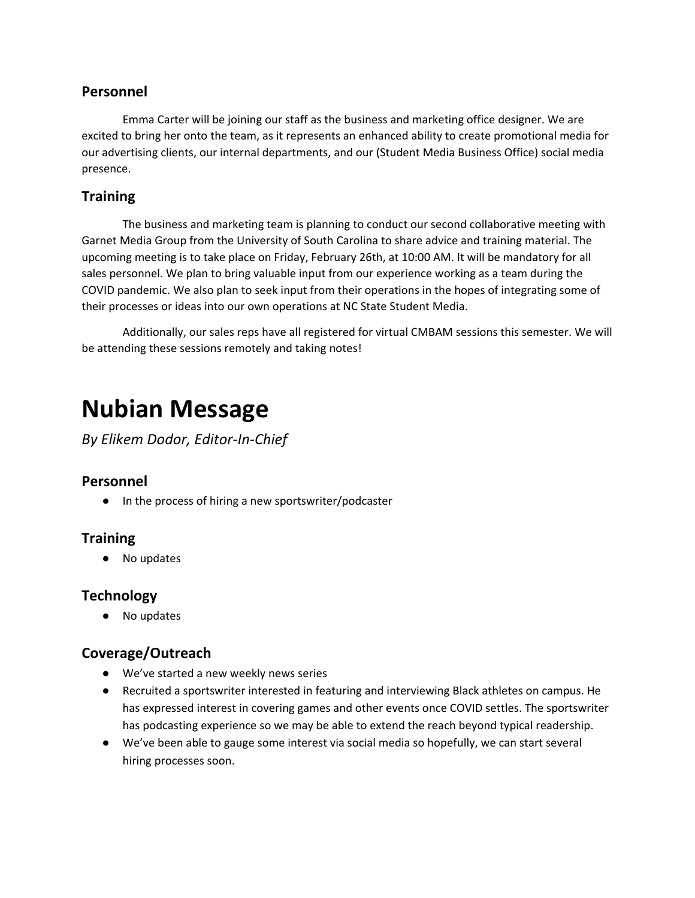#### **Personnel**

 our advertising clients, our internal departments, and our (Student Media Business Office) social media Emma Carter will be joining our staff as the business and marketing office designer. We are excited to bring her onto the team, as it represents an enhanced ability to create promotional media for presence.

## **Training**

 The business and marketing team is planning to conduct our second collaborative meeting with Garnet Media Group from the University of South Carolina to share advice and training material. The upcoming meeting is to take place on Friday, February 26th, at 10:00 AM. It will be mandatory for all sales personnel. We plan to bring valuable input from our experience working as a team during the COVID pandemic. We also plan to seek input from their operations in the hopes of integrating some of their processes or ideas into our own operations at NC State Student Media.

Additionally, our sales reps have all registered for virtual CMBAM sessions this semester. We will be attending these sessions remotely and taking notes!

## **Nubian Message**

*By Elikem Dodor, Editor-In-Chief* 

#### **Personnel**

● In the process of hiring a new sportswriter/podcaster

#### **Training**

● No updates

#### **Technology**

● No updates

#### **Coverage/Outreach**

- We've started a new weekly news series
- ● Recruited a sportswriter interested in featuring and interviewing Black athletes on campus. He has expressed interest in covering games and other events once COVID settles. The sportswriter has podcasting experience so we may be able to extend the reach beyond typical readership.
- We've been able to gauge some interest via social media so hopefully, we can start several hiring processes soon.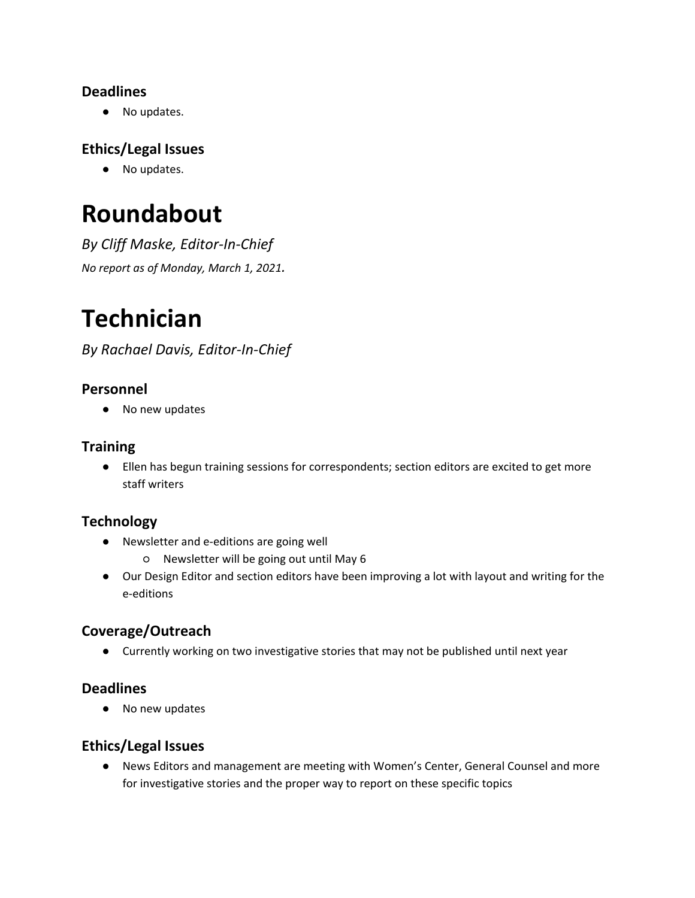## **Deadlines**

● No updates.

## **Ethics/Legal Issues**

● No updates.

## **Roundabout**

*By Cliff Maske, Editor-In-Chief No report as of Monday, March 1, 2021.* 

# **Technician**

*By Rachael Davis, Editor-In-Chief* 

## **Personnel**

● No new updates

### **Training**

● Ellen has begun training sessions for correspondents; section editors are excited to get more staff writers

## **Technology**

- Newsletter and e-editions are going well
	- Newsletter will be going out until May 6
- ● Our Design Editor and section editors have been improving a lot with layout and writing for the e-editions

## **Coverage/Outreach**

● Currently working on two investigative stories that may not be published until next year

## **Deadlines**

● No new updates

#### **Ethics/Legal Issues**

● News Editors and management are meeting with Women's Center, General Counsel and more for investigative stories and the proper way to report on these specific topics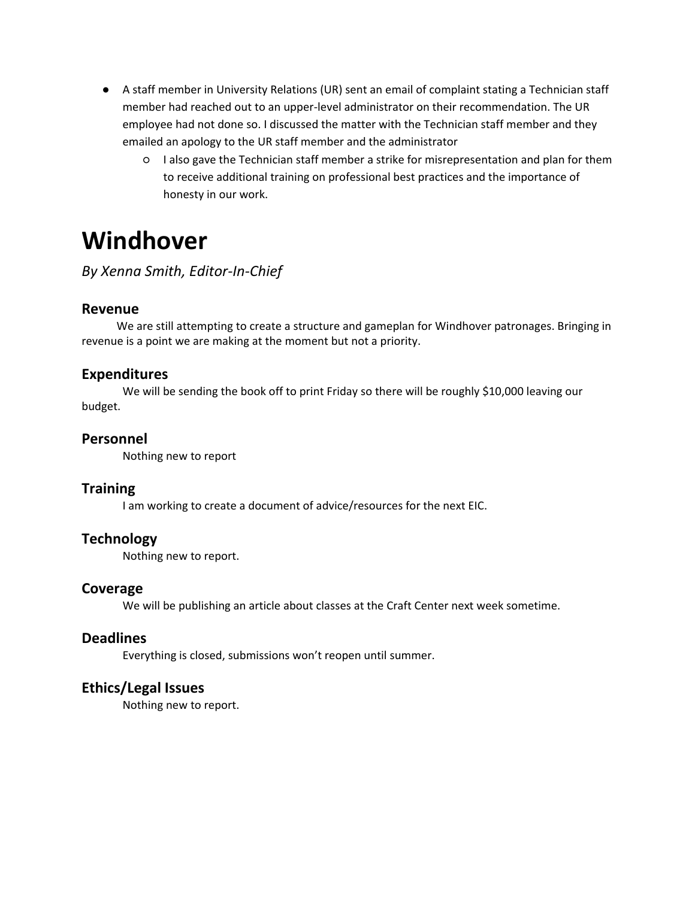- employee had not done so. I discussed the matter with the Technician staff member and they ● A staff member in University Relations (UR) sent an email of complaint stating a Technician staff member had reached out to an upper-level administrator on their recommendation. The UR emailed an apology to the UR staff member and the administrator
	- to receive additional training on professional best practices and the importance of ○ I also gave the Technician staff member a strike for misrepresentation and plan for them honesty in our work.

## **Windhover**

## *By Xenna Smith, Editor-In-Chief*

#### **Revenue**

 revenue is a point we are making at the moment but not a priority. We are still attempting to create a structure and gameplan for Windhover patronages. Bringing in

#### **Expenditures**

We will be sending the book off to print Friday so there will be roughly \$10,000 leaving our budget.

#### **Personnel**

Nothing new to report

#### **Training**

I am working to create a document of advice/resources for the next EIC.

#### **Technology**

Nothing new to report.

#### **Coverage**

We will be publishing an article about classes at the Craft Center next week sometime.

#### **Deadlines**

Everything is closed, submissions won't reopen until summer.

#### **Ethics/Legal Issues**

Nothing new to report.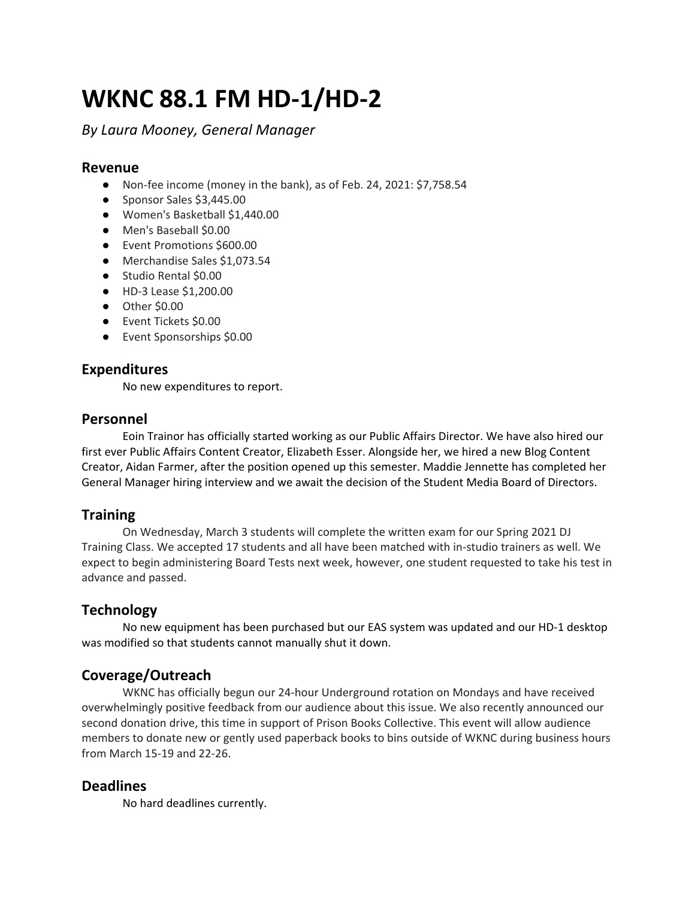## **WKNC 88.1 FM HD-1/HD-2**

### *By Laura Mooney, General Manager*

#### **Revenue**

- Non-fee income (money in the bank), as of Feb. 24, 2021: \$[7,758.54](https://7,758.54)
- Sponsor Sales \$[3,445.00](https://3,445.00)
- Women's Basketball \$[1,440.00](https://1,440.00)
- Men's Baseball \$0.00
- Event Promotions \$600.00
- Merchandise Sales [\\$1,073.54](https://1,073.54)
- Studio Rental \$0.00
- HD-3 Lease [\\$1,200.00](https://1,200.00)
- Other \$0.00
- Event Tickets \$0.00
- Event Sponsorships \$0.00

#### **Expenditures**

No new expenditures to report.

#### **Personnel**

 Eoin Trainor has officially started working as our Public Affairs Director. We have also hired our first ever Public Affairs Content Creator, Elizabeth Esser. Alongside her, we hired a new Blog Content General Manager hiring interview and we await the decision of the Student Media Board of Directors. Creator, Aidan Farmer, after the position opened up this semester. Maddie Jennette has completed her

#### **Training**

 expect to begin administering Board Tests next week, however, one student requested to take his test in advance and passed. On Wednesday, March 3 students will complete the written exam for our Spring 2021 DJ Training Class. We accepted 17 students and all have been matched with in-studio trainers as well. We

#### **Technology**

 No new equipment has been purchased but our EAS system was updated and our HD-1 desktop was modified so that students cannot manually shut it down.

#### **Coverage/Outreach**

 overwhelmingly positive feedback from our audience about this issue. We also recently announced our members to donate new or gently used paperback books to bins outside of WKNC during business hours WKNC has officially begun our 24-hour Underground rotation on Mondays and have received second donation drive, this time in support of Prison Books Collective. This event will allow audience from March 15-19 and 22-26.

#### **Deadlines**

No hard deadlines currently.